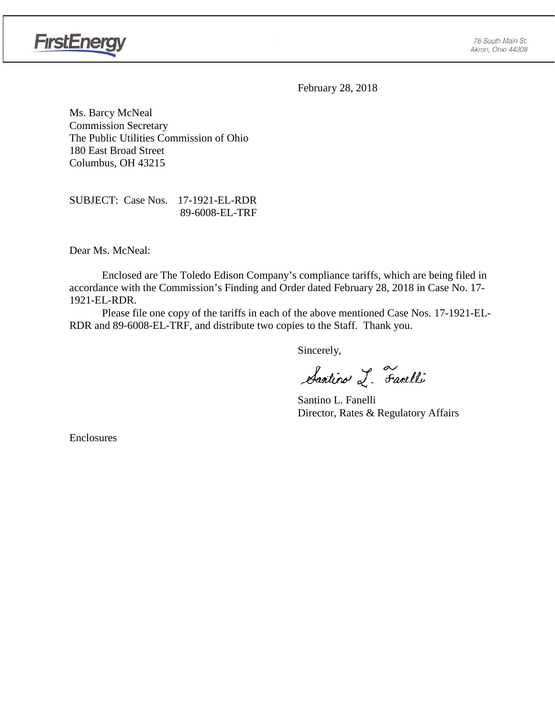

February 28, 2018

Ms. Barcy McNeal Commission Secretary The Public Utilities Commission of Ohio 180 East Broad Street Columbus, OH 43215

SUBJECT: Case Nos. 17-1921-EL-RDR 89-6008-EL-TRF

Dear Ms. McNeal:

Enclosed are The Toledo Edison Company's compliance tariffs, which are being filed in accordance with the Commission's Finding and Order dated February 28, 2018 in Case No. 17- 1921-EL-RDR.

Please file one copy of the tariffs in each of the above mentioned Case Nos. 17-1921-EL-RDR and 89-6008-EL-TRF, and distribute two copies to the Staff. Thank you.

Sincerely,

Santino L. Farelli

Santino L. Fanelli Director, Rates & Regulatory Affairs

Enclosures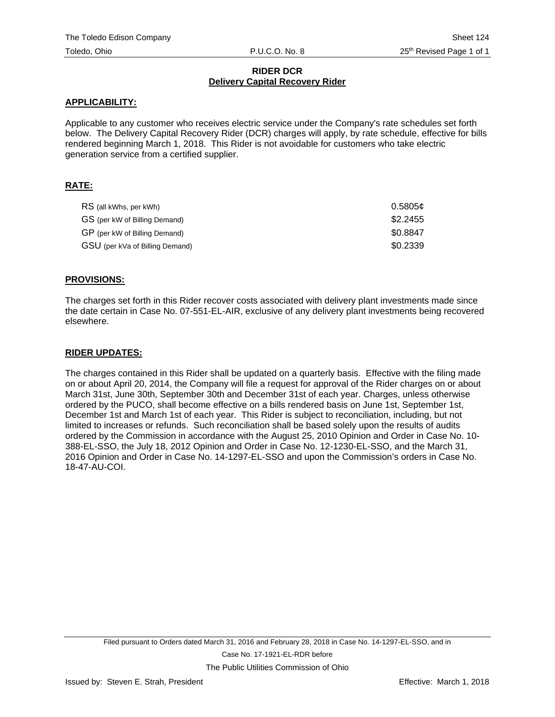## **RIDER DCR Delivery Capital Recovery Rider**

### **APPLICABILITY:**

Applicable to any customer who receives electric service under the Company's rate schedules set forth below. The Delivery Capital Recovery Rider (DCR) charges will apply, by rate schedule, effective for bills rendered beginning March 1, 2018. This Rider is not avoidable for customers who take electric generation service from a certified supplier.

# **RATE:**

| RS (all kWhs, per kWh)          | 0.5805c  |
|---------------------------------|----------|
| GS (per kW of Billing Demand)   | \$2.2455 |
| GP (per kW of Billing Demand)   | \$0.8847 |
| GSU (per kVa of Billing Demand) | \$0.2339 |

#### **PROVISIONS:**

The charges set forth in this Rider recover costs associated with delivery plant investments made since the date certain in Case No. 07-551-EL-AIR, exclusive of any delivery plant investments being recovered elsewhere.

#### **RIDER UPDATES:**

The charges contained in this Rider shall be updated on a quarterly basis. Effective with the filing made on or about April 20, 2014, the Company will file a request for approval of the Rider charges on or about March 31st, June 30th, September 30th and December 31st of each year. Charges, unless otherwise ordered by the PUCO, shall become effective on a bills rendered basis on June 1st, September 1st, December 1st and March 1st of each year. This Rider is subject to reconciliation, including, but not limited to increases or refunds. Such reconciliation shall be based solely upon the results of audits ordered by the Commission in accordance with the August 25, 2010 Opinion and Order in Case No. 10- 388-EL-SSO, the July 18, 2012 Opinion and Order in Case No. 12-1230-EL-SSO, and the March 31, 2016 Opinion and Order in Case No. 14-1297-EL-SSO and upon the Commission's orders in Case No. 18-47-AU-COI.